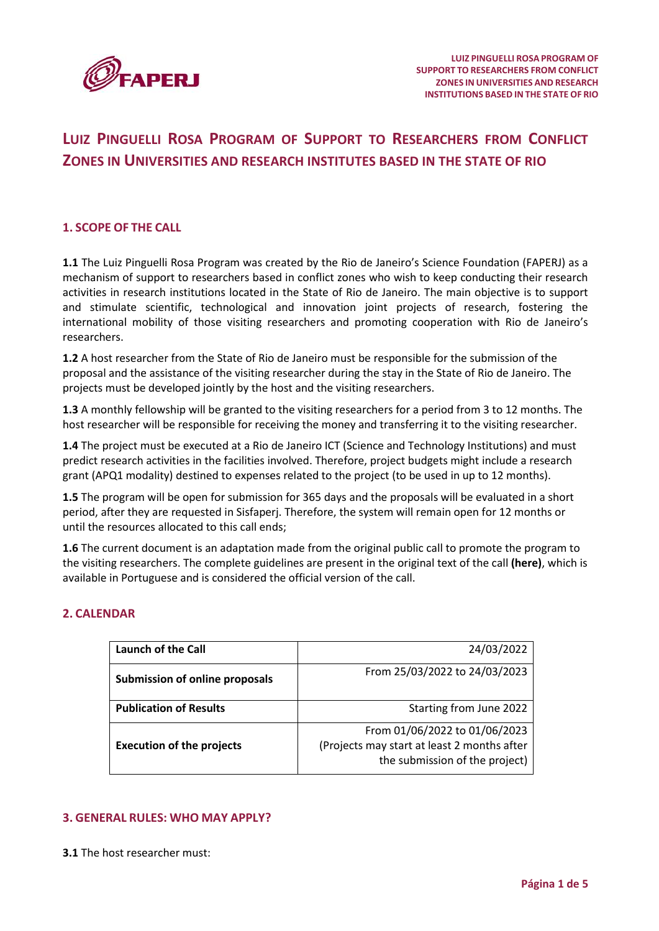

# **LUIZ PINGUELLI ROSA PROGRAM OF SUPPORT TO RESEARCHERS FROM CONFLICT ZONES IN UNIVERSITIES AND RESEARCH INSTITUTES BASED IN THE STATE OF RIO**

# **1. SCOPE OF THE CALL**

**1.1** The Luiz Pinguelli Rosa Program was created by the Rio de Janeiro's Science Foundation (FAPERJ) as a mechanism of support to researchers based in conflict zones who wish to keep conducting their research activities in research institutions located in the State of Rio de Janeiro. The main objective is to support and stimulate scientific, technological and innovation joint projects of research, fostering the international mobility of those visiting researchers and promoting cooperation with Rio de Janeiro's researchers.

**1.2** A host researcher from the State of Rio de Janeiro must be responsible for the submission of the proposal and the assistance of the visiting researcher during the stay in the State of Rio de Janeiro. The projects must be developed jointly by the host and the visiting researchers.

**1.3** A monthly fellowship will be granted to the visiting researchers for a period from 3 to 12 months. The host researcher will be responsible for receiving the money and transferring it to the visiting researcher.

**1.4** The project must be executed at a Rio de Janeiro ICT (Science and Technology Institutions) and must predict research activities in the facilities involved. Therefore, project budgets might include a research grant (APQ1 modality) destined to expenses related to the project (to be used in up to 12 months).

**1.5** The program will be open for submission for 365 days and the proposals will be evaluated in a short period, after they are requested in Sisfaperj. Therefore, the system will remain open for 12 months or until the resources allocated to this call ends;

**1.6** The current document is an adaptation made from the original public call to promote the program to the visiting researchers. The complete guidelines are present in the original text of the call **[\(here\)](https://www.faperj.br/rp/downloads/Programa_de_Apoio_%C3%A0_Mobilidade_e_Instala%C3%A7%C3%A3o_de_Pesquisadores_Origin%C3%A1rios_de_Regi%C3%B5es_em_Conflito_em_ICTs_do_Estado_do_RJ_-_24032022.pdf)**, which is available in Portuguese and is considered the official version of the call.

#### **2. CALENDAR**

| <b>Launch of the Call</b>             | 24/03/2022                                                                                                     |
|---------------------------------------|----------------------------------------------------------------------------------------------------------------|
| <b>Submission of online proposals</b> | From 25/03/2022 to 24/03/2023                                                                                  |
| <b>Publication of Results</b>         | Starting from June 2022                                                                                        |
| <b>Execution of the projects</b>      | From 01/06/2022 to 01/06/2023<br>(Projects may start at least 2 months after<br>the submission of the project) |

# **3. GENERAL RULES: WHO MAY APPLY?**

**3.1** The host researcher must: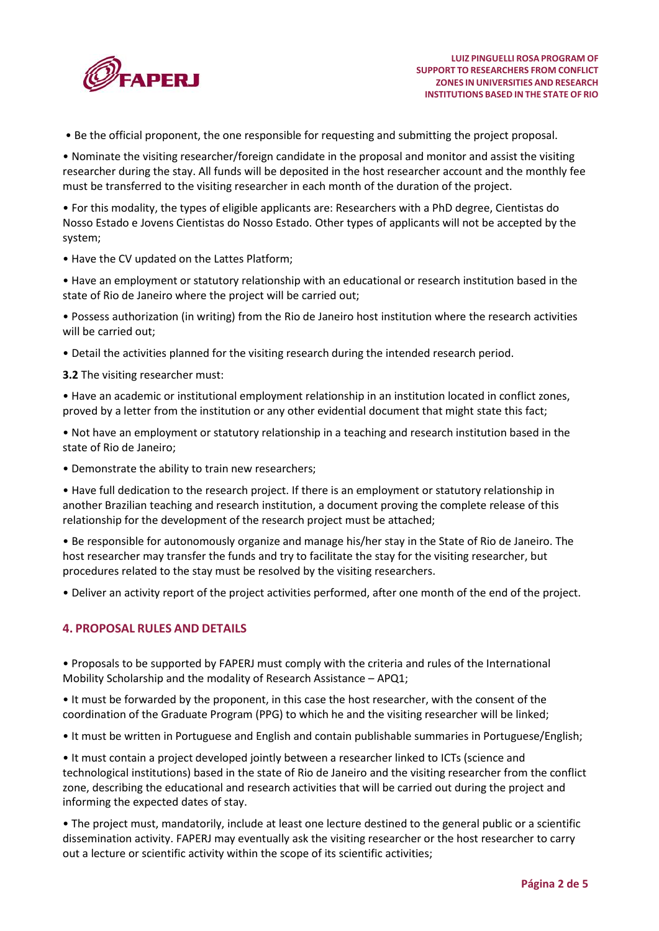

• Be the official proponent, the one responsible for requesting and submitting the project proposal.

• Nominate the visiting researcher/foreign candidate in the proposal and monitor and assist the visiting researcher during the stay. All funds will be deposited in the host researcher account and the monthly fee must be transferred to the visiting researcher in each month of the duration of the project.

• For this modality, the types of eligible applicants are: Researchers with a PhD degree, Cientistas do Nosso Estado e Jovens Cientistas do Nosso Estado. Other types of applicants will not be accepted by the system;

• Have the CV updated on the Lattes Platform;

• Have an employment or statutory relationship with an educational or research institution based in the state of Rio de Janeiro where the project will be carried out;

• Possess authorization (in writing) from the Rio de Janeiro host institution where the research activities will be carried out;

• Detail the activities planned for the visiting research during the intended research period.

**3.2** The visiting researcher must:

• Have an academic or institutional employment relationship in an institution located in conflict zones, proved by a letter from the institution or any other evidential document that might state this fact;

• Not have an employment or statutory relationship in a teaching and research institution based in the state of Rio de Janeiro;

• Demonstrate the ability to train new researchers;

• Have full dedication to the research project. If there is an employment or statutory relationship in another Brazilian teaching and research institution, a document proving the complete release of this relationship for the development of the research project must be attached;

• Be responsible for autonomously organize and manage his/her stay in the State of Rio de Janeiro. The host researcher may transfer the funds and try to facilitate the stay for the visiting researcher, but procedures related to the stay must be resolved by the visiting researchers.

• Deliver an activity report of the project activities performed, after one month of the end of the project.

# **4. PROPOSAL RULES AND DETAILS**

• Proposals to be supported by FAPERJ must comply with the criteria and rules of the International Mobility Scholarship and the modality of Research Assistance – APQ1;

• It must be forwarded by the proponent, in this case the host researcher, with the consent of the coordination of the Graduate Program (PPG) to which he and the visiting researcher will be linked;

• It must be written in Portuguese and English and contain publishable summaries in Portuguese/English;

• It must contain a project developed jointly between a researcher linked to ICTs (science and technological institutions) based in the state of Rio de Janeiro and the visiting researcher from the conflict zone, describing the educational and research activities that will be carried out during the project and informing the expected dates of stay.

• The project must, mandatorily, include at least one lecture destined to the general public or a scientific dissemination activity. FAPERJ may eventually ask the visiting researcher or the host researcher to carry out a lecture or scientific activity within the scope of its scientific activities;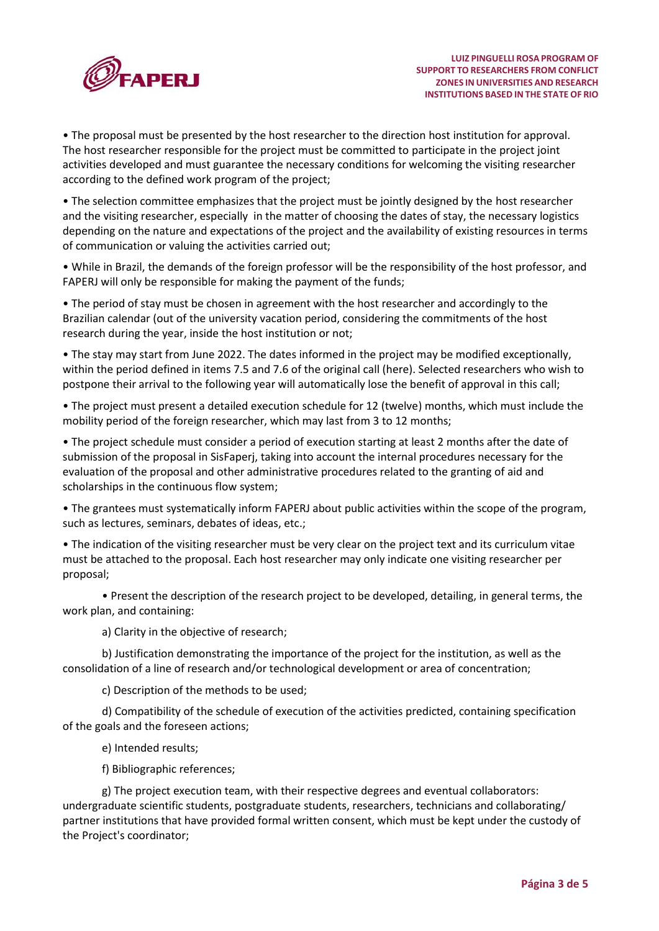

• The proposal must be presented by the host researcher to the direction host institution for approval. The host researcher responsible for the project must be committed to participate in the project joint activities developed and must guarantee the necessary conditions for welcoming the visiting researcher according to the defined work program of the project;

• The selection committee emphasizes that the project must be jointly designed by the host researcher and the visiting researcher, especially in the matter of choosing the dates of stay, the necessary logistics depending on the nature and expectations of the project and the availability of existing resources in terms of communication or valuing the activities carried out;

• While in Brazil, the demands of the foreign professor will be the responsibility of the host professor, and FAPERJ will only be responsible for making the payment of the funds;

• The period of stay must be chosen in agreement with the host researcher and accordingly to the Brazilian calendar (out of the university vacation period, considering the commitments of the host research during the year, inside the host institution or not;

• The stay may start from June 2022. The dates informed in the project may be modified exceptionally, within the period defined in items 7.5 and 7.6 of the original call (here). Selected researchers who wish to postpone their arrival to the following year will automatically lose the benefit of approval in this call;

• The project must present a detailed execution schedule for 12 (twelve) months, which must include the mobility period of the foreign researcher, which may last from 3 to 12 months;

• The project schedule must consider a period of execution starting at least 2 months after the date of submission of the proposal in SisFaperj, taking into account the internal procedures necessary for the evaluation of the proposal and other administrative procedures related to the granting of aid and scholarships in the continuous flow system;

• The grantees must systematically inform FAPERJ about public activities within the scope of the program, such as lectures, seminars, debates of ideas, etc.;

• The indication of the visiting researcher must be very clear on the project text and its curriculum vitae must be attached to the proposal. Each host researcher may only indicate one visiting researcher per proposal;

• Present the description of the research project to be developed, detailing, in general terms, the work plan, and containing:

a) Clarity in the objective of research;

b) Justification demonstrating the importance of the project for the institution, as well as the consolidation of a line of research and/or technological development or area of concentration;

c) Description of the methods to be used;

d) Compatibility of the schedule of execution of the activities predicted, containing specification of the goals and the foreseen actions;

e) Intended results;

f) Bibliographic references;

g) The project execution team, with their respective degrees and eventual collaborators: undergraduate scientific students, postgraduate students, researchers, technicians and collaborating/ partner institutions that have provided formal written consent, which must be kept under the custody of the Project's coordinator;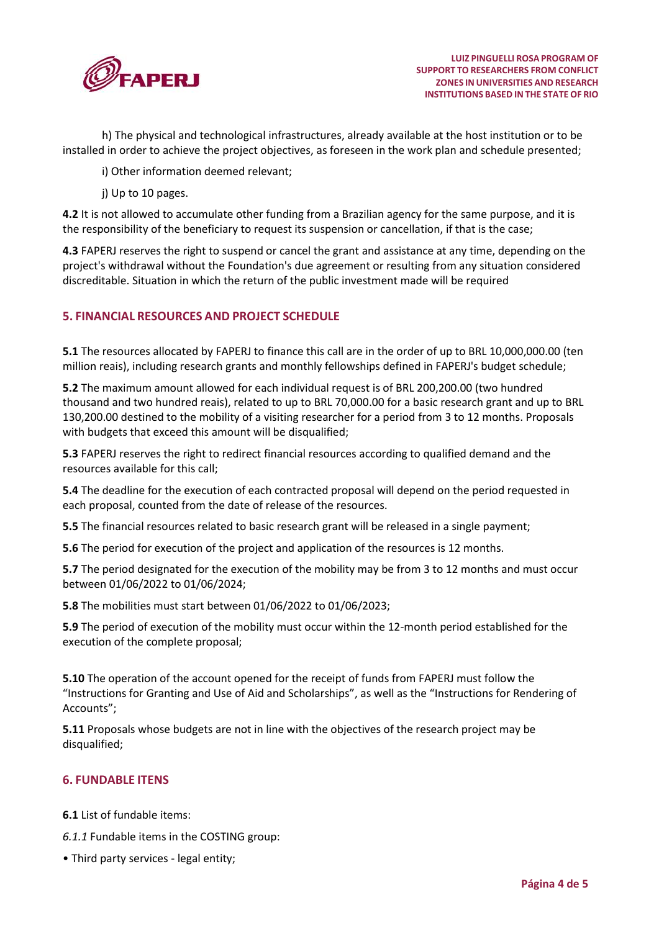

h) The physical and technological infrastructures, already available at the host institution or to be installed in order to achieve the project objectives, as foreseen in the work plan and schedule presented;

i) Other information deemed relevant;

j) Up to 10 pages.

**4.2** It is not allowed to accumulate other funding from a Brazilian agency for the same purpose, and it is the responsibility of the beneficiary to request its suspension or cancellation, if that is the case;

**4.3** FAPERJ reserves the right to suspend or cancel the grant and assistance at any time, depending on the project's withdrawal without the Foundation's due agreement or resulting from any situation considered discreditable. Situation in which the return of the public investment made will be required

# **5. FINANCIAL RESOURCES AND PROJECT SCHEDULE**

**5.1** The resources allocated by FAPERJ to finance this call are in the order of up to BRL 10,000,000.00 (ten million reais), including research grants and monthly fellowships defined in FAPERJ's budget schedule;

**5.2** The maximum amount allowed for each individual request is of BRL 200,200.00 (two hundred thousand and two hundred reais), related to up to BRL 70,000.00 for a basic research grant and up to BRL 130,200.00 destined to the mobility of a visiting researcher for a period from 3 to 12 months. Proposals with budgets that exceed this amount will be disqualified;

**5.3** FAPERJ reserves the right to redirect financial resources according to qualified demand and the resources available for this call;

**5.4** The deadline for the execution of each contracted proposal will depend on the period requested in each proposal, counted from the date of release of the resources.

**5.5** The financial resources related to basic research grant will be released in a single payment;

**5.6** The period for execution of the project and application of the resources is 12 months.

**5.7** The period designated for the execution of the mobility may be from 3 to 12 months and must occur between 01/06/2022 to 01/06/2024;

**5.8** The mobilities must start between 01/06/2022 to 01/06/2023;

**5.9** The period of execution of the mobility must occur within the 12-month period established for the execution of the complete proposal;

**5.10** The operation of the account opened for the receipt of funds from FAPERJ must follow the "Instructions for Granting and Use of Aid and Scholarships", as well as the "Instructions for Rendering of Accounts";

**5.11** Proposals whose budgets are not in line with the objectives of the research project may be disqualified;

### **6. FUNDABLE ITENS**

**6.1** List of fundable items:

- *6.1.1* Fundable items in the COSTING group:
- Third party services legal entity;